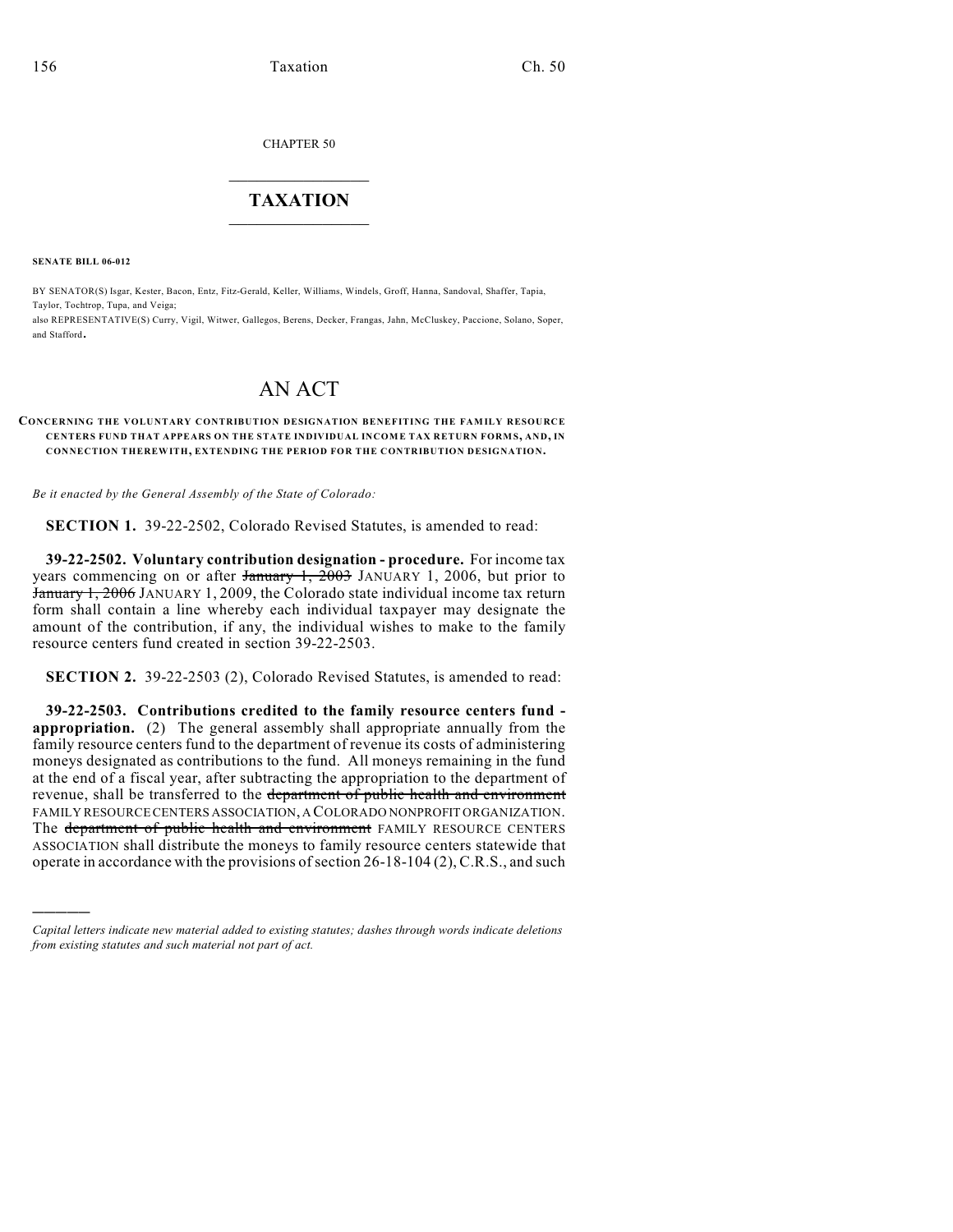CHAPTER 50

## $\mathcal{L}_\text{max}$  . The set of the set of the set of the set of the set of the set of the set of the set of the set of the set of the set of the set of the set of the set of the set of the set of the set of the set of the set **TAXATION**  $\_$

**SENATE BILL 06-012**

)))))

BY SENATOR(S) Isgar, Kester, Bacon, Entz, Fitz-Gerald, Keller, Williams, Windels, Groff, Hanna, Sandoval, Shaffer, Tapia, Taylor, Tochtrop, Tupa, and Veiga;

also REPRESENTATIVE(S) Curry, Vigil, Witwer, Gallegos, Berens, Decker, Frangas, Jahn, McCluskey, Paccione, Solano, Soper, and Stafford.

## AN ACT

## **CONCERNING THE VOLUNTARY CONTRIBUTION DESIGNATION BENEFITING THE FAMILY RESOURCE CENTERS FUND THAT APPEARS ON THE STATE INDIVIDUAL INCOM E TAX RETURN FORM S, AND, IN CONNECTION THEREWITH, EXTENDING THE PERIOD FOR THE CONTRIBUTION DESIGNATION.**

*Be it enacted by the General Assembly of the State of Colorado:*

**SECTION 1.** 39-22-2502, Colorado Revised Statutes, is amended to read:

**39-22-2502. Voluntary contribution designation - procedure.** For income tax years commencing on or after  $\frac{1}{2003}$  JANUARY 1, 2006, but prior to January 1, 2006 JANUARY 1, 2009, the Colorado state individual income tax return form shall contain a line whereby each individual taxpayer may designate the amount of the contribution, if any, the individual wishes to make to the family resource centers fund created in section 39-22-2503.

**SECTION 2.** 39-22-2503 (2), Colorado Revised Statutes, is amended to read:

**39-22-2503. Contributions credited to the family resource centers fund appropriation.** (2) The general assembly shall appropriate annually from the family resource centers fund to the department of revenue its costs of administering moneys designated as contributions to the fund. All moneys remaining in the fund at the end of a fiscal year, after subtracting the appropriation to the department of revenue, shall be transferred to the department of public health and environment FAMILY RESOURCE CENTERS ASSOCIATION, A COLORADO NONPROFIT ORGANIZATION. The department of public health and environment FAMILY RESOURCE CENTERS ASSOCIATION shall distribute the moneys to family resource centers statewide that operate in accordance with the provisions of section 26-18-104 (2), C.R.S., and such

*Capital letters indicate new material added to existing statutes; dashes through words indicate deletions from existing statutes and such material not part of act.*